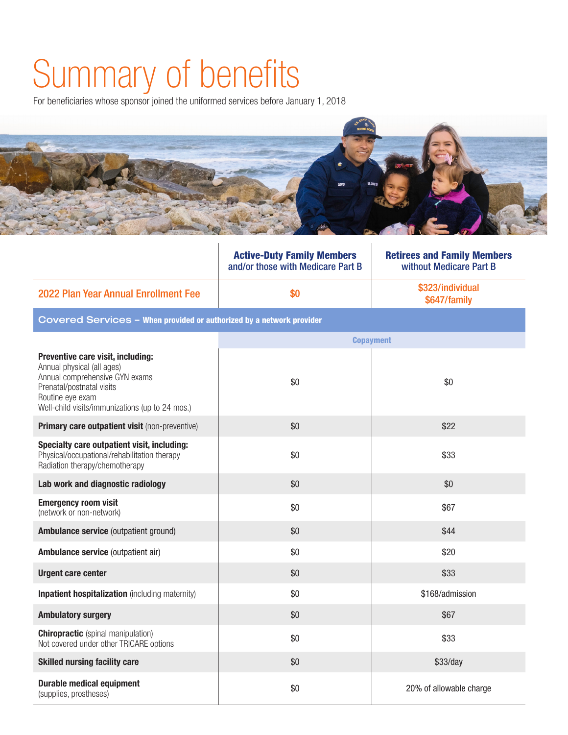## Summary of benefits

For beneficiaries whose sponsor joined the uniformed services before January 1, 2018



|                                                                                                                                                                                                       | <b>Active-Duty Family Members</b><br>and/or those with Medicare Part B | <b>Retirees and Family Members</b><br>without Medicare Part B |  |  |
|-------------------------------------------------------------------------------------------------------------------------------------------------------------------------------------------------------|------------------------------------------------------------------------|---------------------------------------------------------------|--|--|
| 2022 Plan Year Annual Enrollment Fee                                                                                                                                                                  | \$0                                                                    | \$323/individual<br>\$647/family                              |  |  |
| Covered Services - When provided or authorized by a network provider                                                                                                                                  |                                                                        |                                                               |  |  |
|                                                                                                                                                                                                       | <b>Copayment</b>                                                       |                                                               |  |  |
| Preventive care visit, including:<br>Annual physical (all ages)<br>Annual comprehensive GYN exams<br>Prenatal/postnatal visits<br>Routine eye exam<br>Well-child visits/immunizations (up to 24 mos.) | \$0                                                                    | \$0                                                           |  |  |
| Primary care outpatient visit (non-preventive)                                                                                                                                                        | \$0                                                                    | \$22                                                          |  |  |
| Specialty care outpatient visit, including:<br>Physical/occupational/rehabilitation therapy<br>Radiation therapy/chemotherapy                                                                         | \$0                                                                    | \$33                                                          |  |  |
| Lab work and diagnostic radiology                                                                                                                                                                     | \$0                                                                    | \$0                                                           |  |  |
| <b>Emergency room visit</b><br>(network or non-network)                                                                                                                                               | \$0                                                                    | \$67                                                          |  |  |
| Ambulance service (outpatient ground)                                                                                                                                                                 | \$0                                                                    | \$44                                                          |  |  |
| Ambulance service (outpatient air)                                                                                                                                                                    | \$0                                                                    | \$20                                                          |  |  |
| <b>Urgent care center</b>                                                                                                                                                                             | \$0                                                                    | \$33                                                          |  |  |
| <b>Inpatient hospitalization</b> (including maternity)                                                                                                                                                | \$0                                                                    | \$168/admission                                               |  |  |
| <b>Ambulatory surgery</b>                                                                                                                                                                             | \$0                                                                    | \$67                                                          |  |  |
| <b>Chiropractic</b> (spinal manipulation)<br>Not covered under other TRICARE options                                                                                                                  | \$0                                                                    | \$33                                                          |  |  |
| <b>Skilled nursing facility care</b>                                                                                                                                                                  | \$0                                                                    | \$33/day                                                      |  |  |
| <b>Durable medical equipment</b><br>(supplies, prostheses)                                                                                                                                            | \$0                                                                    | 20% of allowable charge                                       |  |  |